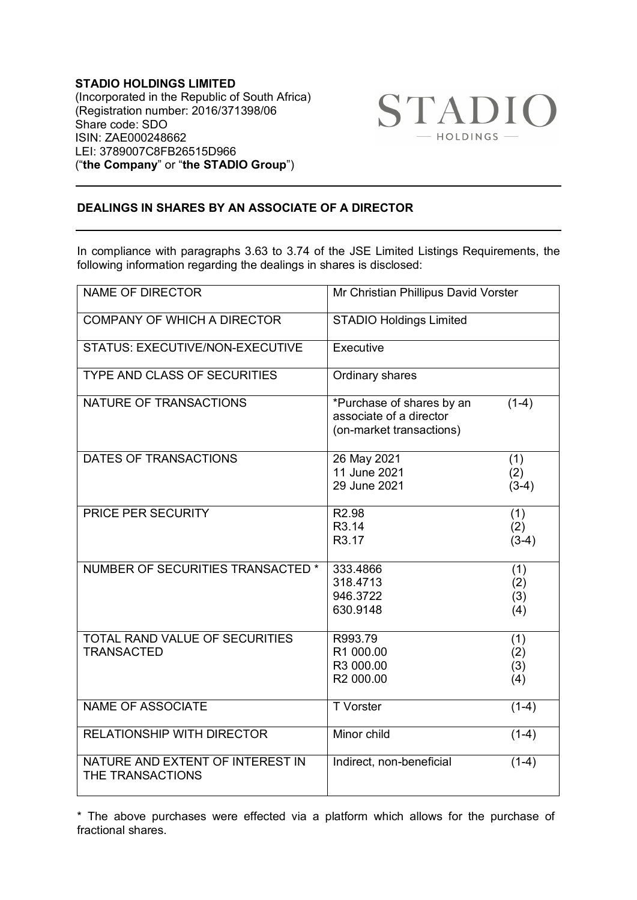**STADIO HOLDINGS LIMITED** (Incorporated in the Republic of South Africa) (Registration number: 2016/371398/06 Share code: SDO ISIN: ZAE000248662 LEI: 3789007C8FB26515D966 ("**the Company**" or "**the STADIO Group**")



## **DEALINGS IN SHARES BY AN ASSOCIATE OF A DIRECTOR**

In compliance with paragraphs 3.63 to 3.74 of the JSE Limited Listings Requirements, the following information regarding the dealings in shares is disclosed:

| <b>NAME OF DIRECTOR</b>                                    | Mr Christian Phillipus David Vorster                                             |                          |
|------------------------------------------------------------|----------------------------------------------------------------------------------|--------------------------|
| <b>COMPANY OF WHICH A DIRECTOR</b>                         | <b>STADIO Holdings Limited</b>                                                   |                          |
| STATUS: EXECUTIVE/NON-EXECUTIVE                            | Executive                                                                        |                          |
| <b>TYPE AND CLASS OF SECURITIES</b>                        | Ordinary shares                                                                  |                          |
| NATURE OF TRANSACTIONS                                     | *Purchase of shares by an<br>associate of a director<br>(on-market transactions) | $(1-4)$                  |
| DATES OF TRANSACTIONS                                      | 26 May 2021<br>11 June 2021<br>29 June 2021                                      | (1)<br>(2)<br>$(3-4)$    |
| PRICE PER SECURITY                                         | R <sub>2.98</sub><br>R3.14<br>R3.17                                              | (1)<br>(2)<br>$(3-4)$    |
| NUMBER OF SECURITIES TRANSACTED *                          | 333.4866<br>318.4713<br>946.3722<br>630.9148                                     | (1)<br>(2)<br>(3)<br>(4) |
| <b>TOTAL RAND VALUE OF SECURITIES</b><br><b>TRANSACTED</b> | R993.79<br>R1 000.00<br>R3 000.00<br>R2 000.00                                   | (1)<br>(2)<br>(3)<br>(4) |
| <b>NAME OF ASSOCIATE</b>                                   | <b>T</b> Vorster                                                                 | $(1-4)$                  |
| <b>RELATIONSHIP WITH DIRECTOR</b>                          | Minor child                                                                      | $(1-4)$                  |
| NATURE AND EXTENT OF INTEREST IN<br>THE TRANSACTIONS       | Indirect, non-beneficial                                                         | $(1-4)$                  |

\* The above purchases were effected via a platform which allows for the purchase of fractional shares.